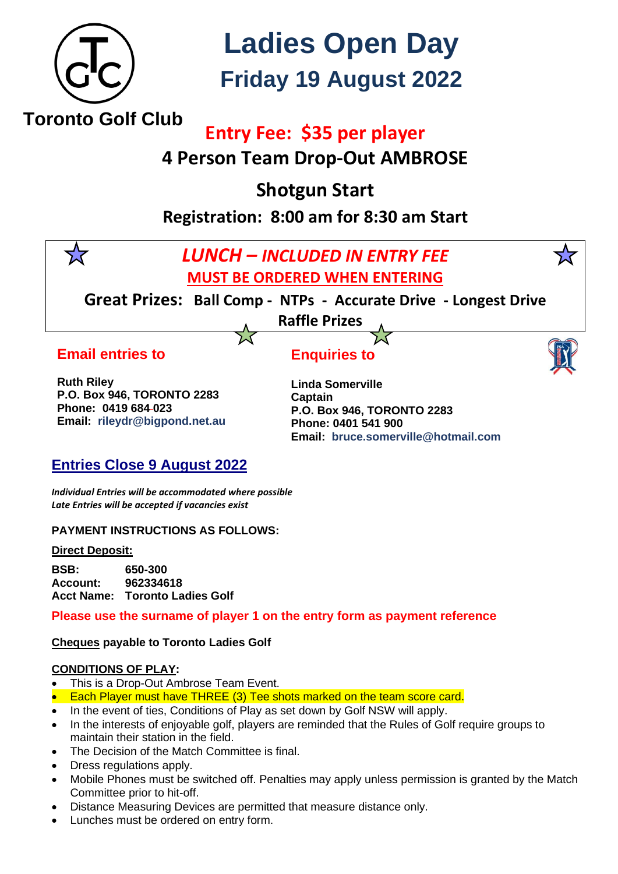

# **Ladies Open Day Friday 19 August 2022**

## **Entry Fee:****\$35 per player**

**4 Person Team Drop-Out AMBROSE**

**Shotgun Start**

**Registration: 8:00 am for 8:30 am Start**



**Account: 962334618 Acct Name: Toronto Ladies Golf**

**Please use the surname of player 1 on the entry form as payment reference**

**Cheques payable to Toronto Ladies Golf**

#### **CONDITIONS OF PLAY:**

- This is a Drop-Out Ambrose Team Event.
- Each Player must have THREE (3) Tee shots marked on the team score card.
- In the event of ties, Conditions of Play as set down by Golf NSW will apply.
- In the interests of enjoyable golf, players are reminded that the Rules of Golf require groups to maintain their station in the field.
- The Decision of the Match Committee is final.
- Dress regulations apply.
- Mobile Phones must be switched off. Penalties may apply unless permission is granted by the Match Committee prior to hit-off.
- Distance Measuring Devices are permitted that measure distance only.
- Lunches must be ordered on entry form.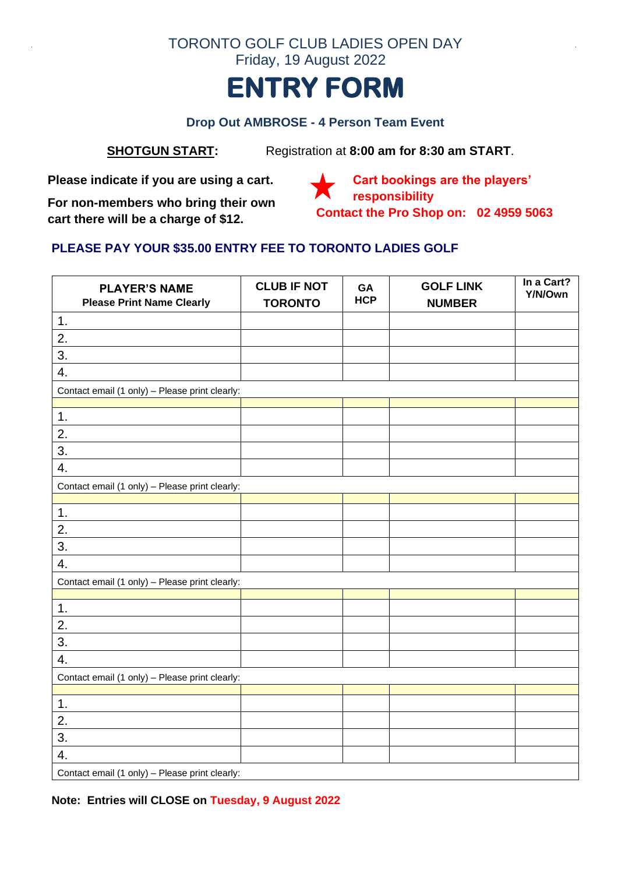

#### **Drop Out AMBROSE - 4 Person Team Event**

**SHOTGUN START:** Registration at **8:00 am for 8:30 am START**.

**Please indicate if you are using a cart.**

**For non-members who bring their own cart there will be a charge of \$12.**

**Cart bookings are the players' responsibility Contact the Pro Shop on: 02 4959 5063**

### **PLEASE PAY YOUR \$35.00 ENTRY FEE TO TORONTO LADIES GOLF**

| <b>PLAYER'S NAME</b><br><b>Please Print Name Clearly</b> | <b>CLUB IF NOT</b><br><b>TORONTO</b> | GA<br><b>HCP</b> | <b>GOLF LINK</b><br><b>NUMBER</b> | In a Cart?<br>Y/N/Own |  |
|----------------------------------------------------------|--------------------------------------|------------------|-----------------------------------|-----------------------|--|
| 1.                                                       |                                      |                  |                                   |                       |  |
| 2.                                                       |                                      |                  |                                   |                       |  |
| 3.                                                       |                                      |                  |                                   |                       |  |
| 4.                                                       |                                      |                  |                                   |                       |  |
| Contact email (1 only) - Please print clearly:           |                                      |                  |                                   |                       |  |
|                                                          |                                      |                  |                                   |                       |  |
| 1.                                                       |                                      |                  |                                   |                       |  |
| 2.                                                       |                                      |                  |                                   |                       |  |
| 3.                                                       |                                      |                  |                                   |                       |  |
| 4.                                                       |                                      |                  |                                   |                       |  |
| Contact email (1 only) - Please print clearly:           |                                      |                  |                                   |                       |  |
|                                                          |                                      |                  |                                   |                       |  |
| 1.                                                       |                                      |                  |                                   |                       |  |
| 2.                                                       |                                      |                  |                                   |                       |  |
| 3.                                                       |                                      |                  |                                   |                       |  |
| 4.                                                       |                                      |                  |                                   |                       |  |
| Contact email (1 only) - Please print clearly:           |                                      |                  |                                   |                       |  |
|                                                          |                                      |                  |                                   |                       |  |
| 1.                                                       |                                      |                  |                                   |                       |  |
| 2.                                                       |                                      |                  |                                   |                       |  |
| 3.                                                       |                                      |                  |                                   |                       |  |
| 4.                                                       |                                      |                  |                                   |                       |  |
| Contact email (1 only) - Please print clearly:           |                                      |                  |                                   |                       |  |
|                                                          |                                      |                  |                                   |                       |  |
| 1.                                                       |                                      |                  |                                   |                       |  |
| 2.                                                       |                                      |                  |                                   |                       |  |
| 3.                                                       |                                      |                  |                                   |                       |  |
| 4.                                                       |                                      |                  |                                   |                       |  |
| Contact email (1 only) - Please print clearly:           |                                      |                  |                                   |                       |  |

**Note: Entries will CLOSE on Tuesday, 9 August 2022**